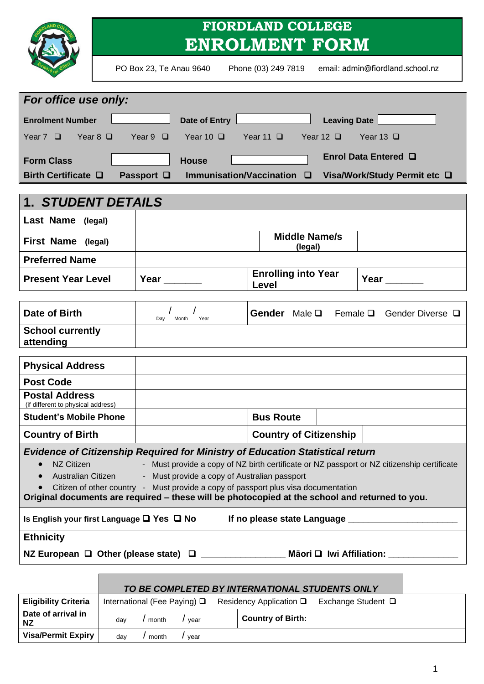|                                                                                                                                                                                                                                                                                                                                                                                                                                                                          |                                                                                                    |                              |               |  | <b>FIORDLAND COLLEGE</b><br><b>ENROLMENT FORM</b> |                                 |                                  |                                         |
|--------------------------------------------------------------------------------------------------------------------------------------------------------------------------------------------------------------------------------------------------------------------------------------------------------------------------------------------------------------------------------------------------------------------------------------------------------------------------|----------------------------------------------------------------------------------------------------|------------------------------|---------------|--|---------------------------------------------------|---------------------------------|----------------------------------|-----------------------------------------|
|                                                                                                                                                                                                                                                                                                                                                                                                                                                                          |                                                                                                    | PO Box 23, Te Anau 9640      |               |  | Phone (03) 249 7819                               |                                 | email: admin@fiordland.school.nz |                                         |
| For office use only:                                                                                                                                                                                                                                                                                                                                                                                                                                                     |                                                                                                    |                              |               |  |                                                   |                                 |                                  |                                         |
| <b>Enrolment Number</b>                                                                                                                                                                                                                                                                                                                                                                                                                                                  |                                                                                                    |                              |               |  | Date of Entry                                     |                                 | Leaving Date                     |                                         |
| Year $7$ $\Box$<br>$Year 8$ $\Box$                                                                                                                                                                                                                                                                                                                                                                                                                                       |                                                                                                    |                              |               |  | Year 9 □ Year 10 □ Year 11 □ Year 12 □            |                                 | $Year 13$ $\Box$                 |                                         |
|                                                                                                                                                                                                                                                                                                                                                                                                                                                                          |                                                                                                    |                              |               |  |                                                   |                                 |                                  |                                         |
| <b>Form Class</b>                                                                                                                                                                                                                                                                                                                                                                                                                                                        |                                                                                                    |                              | <b>House</b>  |  |                                                   |                                 | Enrol Data Entered Q             |                                         |
| Birth Certificate $\Box$                                                                                                                                                                                                                                                                                                                                                                                                                                                 |                                                                                                    | Passport <b>□</b>            |               |  | Immunisation/Vaccination $\square$                |                                 |                                  | Visa/Work/Study Permit etc □            |
| 1. STUDENT DETAILS                                                                                                                                                                                                                                                                                                                                                                                                                                                       |                                                                                                    |                              |               |  |                                                   |                                 |                                  |                                         |
| Last Name (legal)                                                                                                                                                                                                                                                                                                                                                                                                                                                        |                                                                                                    |                              |               |  |                                                   |                                 |                                  |                                         |
| First Name (legal)                                                                                                                                                                                                                                                                                                                                                                                                                                                       |                                                                                                    |                              |               |  |                                                   | <b>Middle Name/s</b><br>(legal) |                                  |                                         |
| <b>Preferred Name</b>                                                                                                                                                                                                                                                                                                                                                                                                                                                    |                                                                                                    |                              |               |  |                                                   |                                 |                                  |                                         |
| <b>Present Year Level</b>                                                                                                                                                                                                                                                                                                                                                                                                                                                |                                                                                                    | Year                         |               |  | <b>Enrolling into Year</b><br>Level               |                                 | Year $\_\_$                      |                                         |
| <b>Date of Birth</b>                                                                                                                                                                                                                                                                                                                                                                                                                                                     |                                                                                                    |                              |               |  |                                                   |                                 |                                  | Gender Male Q Female Q Gender Diverse Q |
|                                                                                                                                                                                                                                                                                                                                                                                                                                                                          |                                                                                                    | Day                          | Year<br>Month |  |                                                   |                                 |                                  |                                         |
| <b>School currently</b><br>attending                                                                                                                                                                                                                                                                                                                                                                                                                                     |                                                                                                    |                              |               |  |                                                   |                                 |                                  |                                         |
| <b>Physical Address</b>                                                                                                                                                                                                                                                                                                                                                                                                                                                  |                                                                                                    |                              |               |  |                                                   |                                 |                                  |                                         |
| <b>Post Code</b>                                                                                                                                                                                                                                                                                                                                                                                                                                                         |                                                                                                    |                              |               |  |                                                   |                                 |                                  |                                         |
| <b>Postal Address</b><br>(if different to physical address)                                                                                                                                                                                                                                                                                                                                                                                                              |                                                                                                    |                              |               |  |                                                   |                                 |                                  |                                         |
| <b>Student's Mobile Phone</b>                                                                                                                                                                                                                                                                                                                                                                                                                                            |                                                                                                    |                              |               |  | <b>Bus Route</b>                                  |                                 |                                  |                                         |
| <b>Country of Birth</b>                                                                                                                                                                                                                                                                                                                                                                                                                                                  |                                                                                                    |                              |               |  | <b>Country of Citizenship</b>                     |                                 |                                  |                                         |
| <b>Evidence of Citizenship Required for Ministry of Education Statistical return</b><br>NZ Citizen<br>- Must provide a copy of NZ birth certificate or NZ passport or NZ citizenship certificate<br>$\bullet$<br>Australian Citizen - Must provide a copy of Australian passport<br>Citizen of other country - Must provide a copy of passport plus visa documentation<br>Original documents are required - these will be photocopied at the school and returned to you. |                                                                                                    |                              |               |  |                                                   |                                 |                                  |                                         |
| Is English your first Language □ Yes □ No                                                                                                                                                                                                                                                                                                                                                                                                                                |                                                                                                    |                              |               |  |                                                   |                                 |                                  |                                         |
| <b>Ethnicity</b>                                                                                                                                                                                                                                                                                                                                                                                                                                                         |                                                                                                    |                              |               |  |                                                   |                                 |                                  |                                         |
|                                                                                                                                                                                                                                                                                                                                                                                                                                                                          | NZ European □ Other (please state) □ _____________________ Māori □ Iwi Affiliation: ______________ |                              |               |  |                                                   |                                 |                                  |                                         |
|                                                                                                                                                                                                                                                                                                                                                                                                                                                                          |                                                                                                    |                              |               |  |                                                   |                                 |                                  |                                         |
|                                                                                                                                                                                                                                                                                                                                                                                                                                                                          |                                                                                                    |                              |               |  | TO BE COMPLETED BY INTERNATIONAL STUDENTS ONLY    |                                 |                                  |                                         |
| <b>Eligibility Criteria</b>                                                                                                                                                                                                                                                                                                                                                                                                                                              |                                                                                                    | International (Fee Paying) □ |               |  | Residency Application □ Exchange Student □        |                                 |                                  |                                         |

| <b>Eligibility Criteria</b>     |     | International (Fee Paying) $\Box$ |      | Residency Application $\square$ | Exchange Student □ |
|---------------------------------|-----|-----------------------------------|------|---------------------------------|--------------------|
| Date of arrival in<br><b>NZ</b> | day | month                             | vear | Country of Birth:               |                    |
| <b>Visa/Permit Expiry</b>       | dav | month                             | vear |                                 |                    |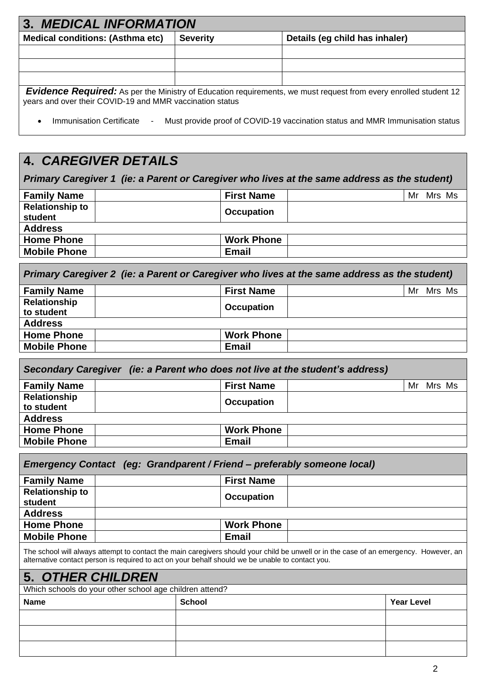| 3. MEDICAL INFORMATION                                                                                                                                                              |                 |                                |  |  |
|-------------------------------------------------------------------------------------------------------------------------------------------------------------------------------------|-----------------|--------------------------------|--|--|
| <b>Medical conditions: (Asthma etc)</b>                                                                                                                                             | <b>Severity</b> | Details (eg child has inhaler) |  |  |
|                                                                                                                                                                                     |                 |                                |  |  |
|                                                                                                                                                                                     |                 |                                |  |  |
|                                                                                                                                                                                     |                 |                                |  |  |
| <b>Evidence Required:</b> As per the Ministry of Education requirements, we must request from every enrolled student 12<br>years and over their COVID-19 and MMR vaccination status |                 |                                |  |  |

• Immunisation Certificate - Must provide proof of COVID-19 vaccination status and MMR Immunisation status

# **4.** *CAREGIVER DETAILS*

*Primary Caregiver 1 (ie: a Parent or Caregiver who lives at the same address as the student)*

| <b>Family Name</b>     | <b>First Name</b> | Mr | Mrs Ms |  |
|------------------------|-------------------|----|--------|--|
| <b>Relationship to</b> | <b>Occupation</b> |    |        |  |
| student                |                   |    |        |  |
| <b>Address</b>         |                   |    |        |  |
| <b>Home Phone</b>      | <b>Work Phone</b> |    |        |  |
| <b>Mobile Phone</b>    | Email             |    |        |  |

*Primary Caregiver 2 (ie: a Parent or Caregiver who lives at the same address as the student)*

| <b>First Name</b> | Mrs Ms<br>Mr      |
|-------------------|-------------------|
|                   |                   |
|                   |                   |
|                   |                   |
| <b>Work Phone</b> |                   |
| <b>Email</b>      |                   |
|                   | <b>Occupation</b> |

| Secondary Caregiver (ie: a Parent who does not live at the student's address) |                   |  |           |  |  |  |
|-------------------------------------------------------------------------------|-------------------|--|-----------|--|--|--|
| <b>Family Name</b>                                                            | <b>First Name</b> |  | Mr Mrs Ms |  |  |  |
| Relationship<br>to student                                                    | <b>Occupation</b> |  |           |  |  |  |
| <b>Address</b>                                                                |                   |  |           |  |  |  |
| <b>Home Phone</b>                                                             | <b>Work Phone</b> |  |           |  |  |  |
| <b>Mobile Phone</b>                                                           | <b>Email</b>      |  |           |  |  |  |

| Emergency Contact (eg: Grandparent / Friend – preferably someone local) |  |                   |  |  |
|-------------------------------------------------------------------------|--|-------------------|--|--|
| <b>Family Name</b>                                                      |  | <b>First Name</b> |  |  |
| <b>Relationship to</b><br>student                                       |  | <b>Occupation</b> |  |  |
| <b>Address</b>                                                          |  |                   |  |  |
| <b>Home Phone</b>                                                       |  | <b>Work Phone</b> |  |  |
| <b>Mobile Phone</b>                                                     |  | <b>Email</b>      |  |  |
|                                                                         |  |                   |  |  |

The school will always attempt to contact the main caregivers should your child be unwell or in the case of an emergency. However, an alternative contact person is required to act on your behalf should we be unable to contact you.

## **5.** *OTHER CHILDREN*

Which schools do your other school age children attend?

| <b>Name</b> | School | <b>Year Level</b> |
|-------------|--------|-------------------|
|             |        |                   |
|             |        |                   |
|             |        |                   |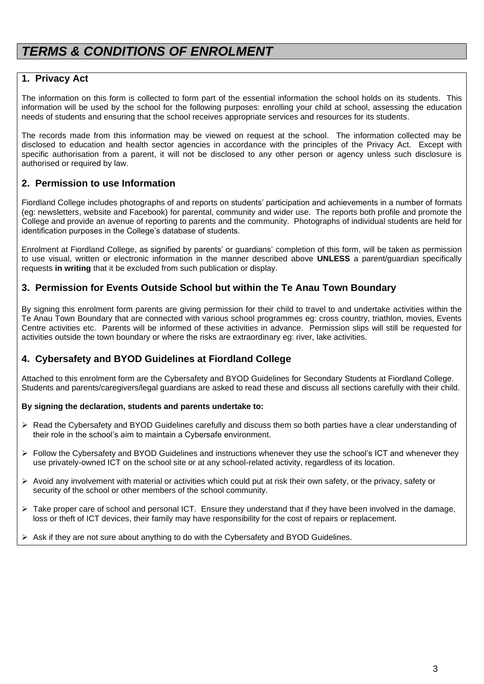## *TERMS & CONDITIONS OF ENROLMENT*

#### **1. Privacy Act**

The information on this form is collected to form part of the essential information the school holds on its students. This information will be used by the school for the following purposes: enrolling your child at school, assessing the education needs of students and ensuring that the school receives appropriate services and resources for its students.

The records made from this information may be viewed on request at the school. The information collected may be disclosed to education and health sector agencies in accordance with the principles of the Privacy Act. Except with specific authorisation from a parent, it will not be disclosed to any other person or agency unless such disclosure is authorised or required by law.

#### **2. Permission to use Information**

Fiordland College includes photographs of and reports on students' participation and achievements in a number of formats (eg: newsletters, website and Facebook) for parental, community and wider use. The reports both profile and promote the College and provide an avenue of reporting to parents and the community. Photographs of individual students are held for identification purposes in the College's database of students.

Enrolment at Fiordland College, as signified by parents' or guardians' completion of this form, will be taken as permission to use visual, written or electronic information in the manner described above **UNLESS** a parent/guardian specifically requests **in writing** that it be excluded from such publication or display.

#### **3. Permission for Events Outside School but within the Te Anau Town Boundary**

By signing this enrolment form parents are giving permission for their child to travel to and undertake activities within the Te Anau Town Boundary that are connected with various school programmes eg: cross country, triathlon, movies, Events Centre activities etc. Parents will be informed of these activities in advance. Permission slips will still be requested for activities outside the town boundary or where the risks are extraordinary eg: river, lake activities.

### **4. Cybersafety and BYOD Guidelines at Fiordland College**

Attached to this enrolment form are the Cybersafety and BYOD Guidelines for Secondary Students at Fiordland College. Students and parents/caregivers/legal guardians are asked to read these and discuss all sections carefully with their child.

#### **By signing the declaration, students and parents undertake to:**

- ➢ Read the Cybersafety and BYOD Guidelines carefully and discuss them so both parties have a clear understanding of their role in the school's aim to maintain a Cybersafe environment.
- ➢ Follow the Cybersafety and BYOD Guidelines and instructions whenever they use the school's ICT and whenever they use privately-owned ICT on the school site or at any school-related activity, regardless of its location.
- $\triangleright$  Avoid any involvement with material or activities which could put at risk their own safety, or the privacy, safety or security of the school or other members of the school community.
- ➢ Take proper care of school and personal ICT. Ensure they understand that if they have been involved in the damage, loss or theft of ICT devices, their family may have responsibility for the cost of repairs or replacement.
- Ask if they are not sure about anything to do with the Cybersafety and BYOD Guidelines.